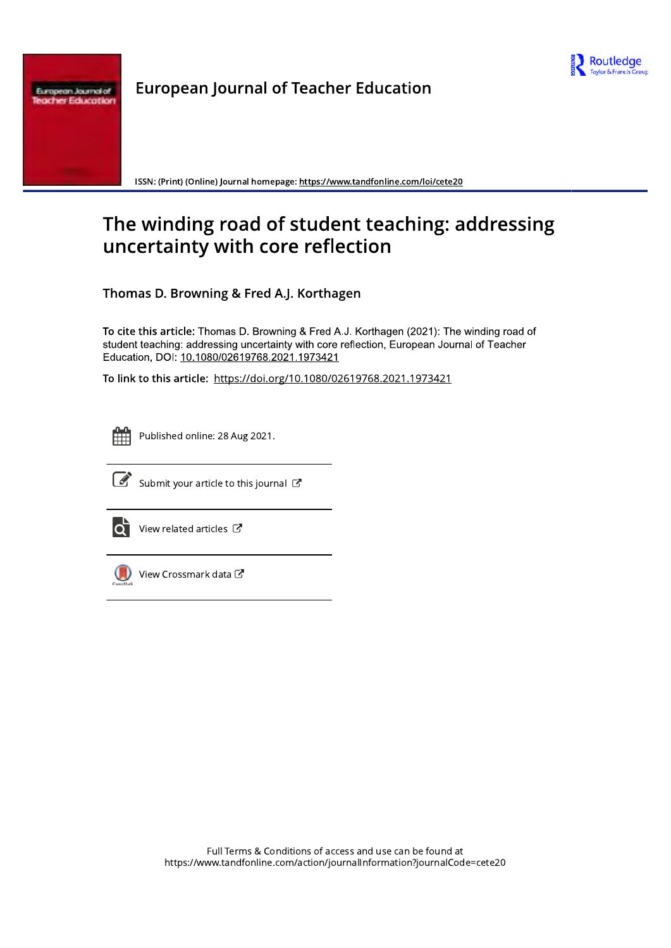

ropean Journal of

**European Journal of Teacher Education** 

ISSN: (Print) (Online) Journal homepage: https://www.tandfonline.com/loi/cete20

# The winding road of student teaching: addressing uncertainty with core reflection

Thomas D. Browning & Fred A.J. Korthagen

To cite this article: Thomas D. Browning & Fred A.J. Korthagen (2021): The winding road of student teaching: addressing uncertainty with core reflection, European Journal of Teacher Education, DOI: 10.1080/02619768.2021.1973421

To link to this article: https://doi.org/10.1080/02619768.2021.1973421



Published online: 28 Aug 2021.



Submit your article to this journal  $\mathbb{Z}$ 



View related articles  $\mathbb{Z}$ 



View Crossmark dataし

Full Terms & Conditions of access and use can be found at https://www.tandfonline.com/action/journalInformation?journalCode=cete20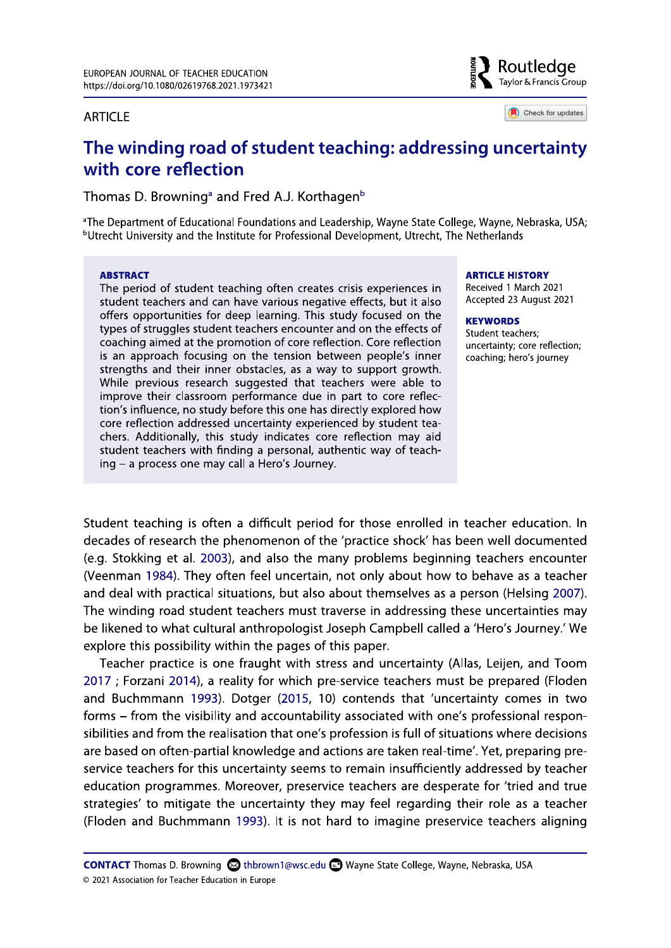#### **ARTICLE**



Check for updates

# The winding road of student teaching: addressing uncertainty with core reflection

Thomas D. Browning<sup>a</sup> and Fred A.J. Korthagen<sup>b</sup>

<sup>a</sup>The Department of Educational Foundations and Leadership, Wayne State College, Wayne, Nebraska, USA; <sup>b</sup>Utrecht University and the Institute for Professional Development, Utrecht, The Netherlands

#### **ABSTRACT**

The period of student teaching often creates crisis experiences in student teachers and can have various negative effects, but it also offers opportunities for deep learning. This study focused on the types of struggles student teachers encounter and on the effects of coaching aimed at the promotion of core reflection. Core reflection is an approach focusing on the tension between people's inner strengths and their inner obstacles, as a way to support growth. While previous research suggested that teachers were able to improve their classroom performance due in part to core reflection's influence, no study before this one has directly explored how core reflection addressed uncertainty experienced by student teachers. Additionally, this study indicates core reflection may aid student teachers with finding a personal, authentic way of teaching - a process one may call a Hero's Journey.

#### **ARTICLE HISTORY**

Received 1 March 2021 Accepted 23 August 2021

#### **KEYWORDS**

Student teachers: uncertainty; core reflection; coaching; hero's journey

Student teaching is often a difficult period for those enrolled in teacher education. In decades of research the phenomenon of the 'practice shock' has been well documented (e.g. Stokking et al. 2003), and also the many problems beginning teachers encounter (Veenman 1984). They often feel uncertain, not only about how to behave as a teacher and deal with practical situations, but also about themselves as a person (Helsing 2007). The winding road student teachers must traverse in addressing these uncertainties may be likened to what cultural anthropologist Joseph Campbell called a 'Hero's Journey.' We explore this possibility within the pages of this paper.

Teacher practice is one fraught with stress and uncertainty (Allas, Leijen, and Toom 2017 ; Forzani 2014), a reality for which pre-service teachers must be prepared (Floden and Buchmmann 1993). Dotger (2015, 10) contends that 'uncertainty comes in two forms - from the visibility and accountability associated with one's professional responsibilities and from the realisation that one's profession is full of situations where decisions are based on often-partial knowledge and actions are taken real-time'. Yet, preparing preservice teachers for this uncertainty seems to remain insufficiently addressed by teacher education programmes. Moreover, preservice teachers are desperate for 'tried and true strategies' to mitigate the uncertainty they may feel regarding their role as a teacher (Floden and Buchmmann 1993). It is not hard to imagine preservice teachers aligning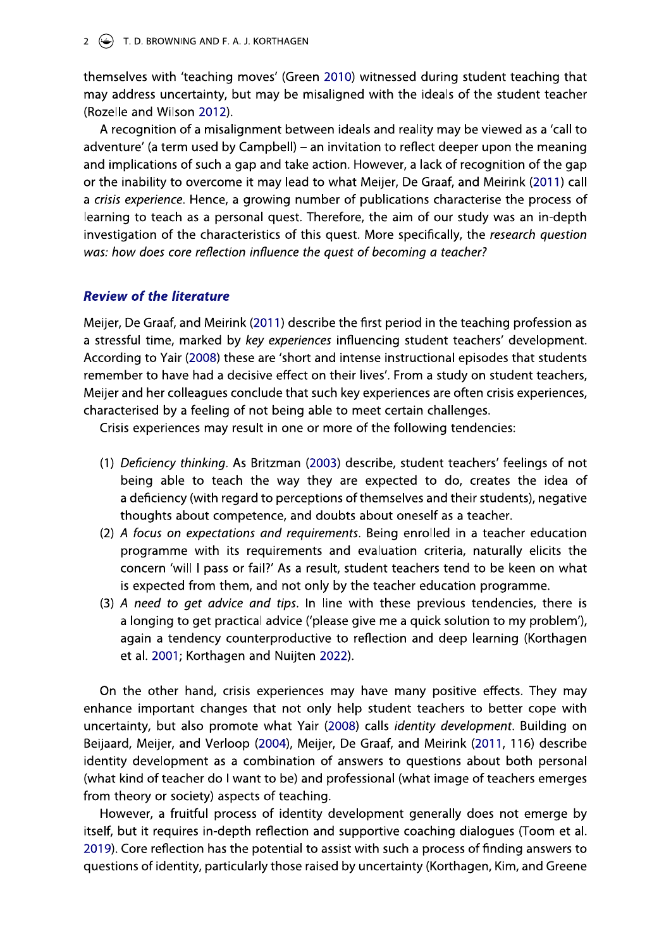themselves with 'teaching moves' (Green 2010) witnessed during student teaching that may address uncertainty, but may be misaligned with the ideals of the student teacher (Rozelle and Wilson 2012).

A recognition of a misalignment between ideals and reality may be viewed as a 'call to adventure' (a term used by Campbell) – an invitation to reflect deeper upon the meaning and implications of such a gap and take action. However, a lack of recognition of the gap or the inability to overcome it may lead to what Meijer, De Graaf, and Meirink (2011) call a crisis experience. Hence, a growing number of publications characterise the process of learning to teach as a personal quest. Therefore, the aim of our study was an in-depth investigation of the characteristics of this quest. More specifically, the research question was: how does core reflection influence the quest of becoming a teacher?

# **Review of the literature**

Meijer, De Graaf, and Meirink (2011) describe the first period in the teaching profession as a stressful time, marked by key experiences influencing student teachers' development. According to Yair (2008) these are 'short and intense instructional episodes that students remember to have had a decisive effect on their lives'. From a study on student teachers, Meijer and her colleagues conclude that such key experiences are often crisis experiences, characterised by a feeling of not being able to meet certain challenges.

Crisis experiences may result in one or more of the following tendencies:

- (1) Deficiency thinking. As Britzman (2003) describe, student teachers' feelings of not being able to teach the way they are expected to do, creates the idea of a deficiency (with regard to perceptions of themselves and their students), negative thoughts about competence, and doubts about oneself as a teacher.
- (2) A focus on expectations and requirements. Being enrolled in a teacher education programme with its requirements and evaluation criteria, naturally elicits the concern 'will I pass or fail?' As a result, student teachers tend to be keen on what is expected from them, and not only by the teacher education programme.
- (3) A need to get advice and tips. In line with these previous tendencies, there is a longing to get practical advice ('please give me a quick solution to my problem'), again a tendency counterproductive to reflection and deep learning (Korthagen et al. 2001; Korthagen and Nuijten 2022).

On the other hand, crisis experiences may have many positive effects. They may enhance important changes that not only help student teachers to better cope with uncertainty, but also promote what Yair (2008) calls *identity development*. Building on Beijaard, Meijer, and Verloop (2004), Meijer, De Graaf, and Meirink (2011, 116) describe identity development as a combination of answers to questions about both personal (what kind of teacher do I want to be) and professional (what image of teachers emerges from theory or society) aspects of teaching.

However, a fruitful process of identity development generally does not emerge by itself, but it requires in-depth reflection and supportive coaching dialogues (Toom et al. 2019). Core reflection has the potential to assist with such a process of finding answers to questions of identity, particularly those raised by uncertainty (Korthagen, Kim, and Greene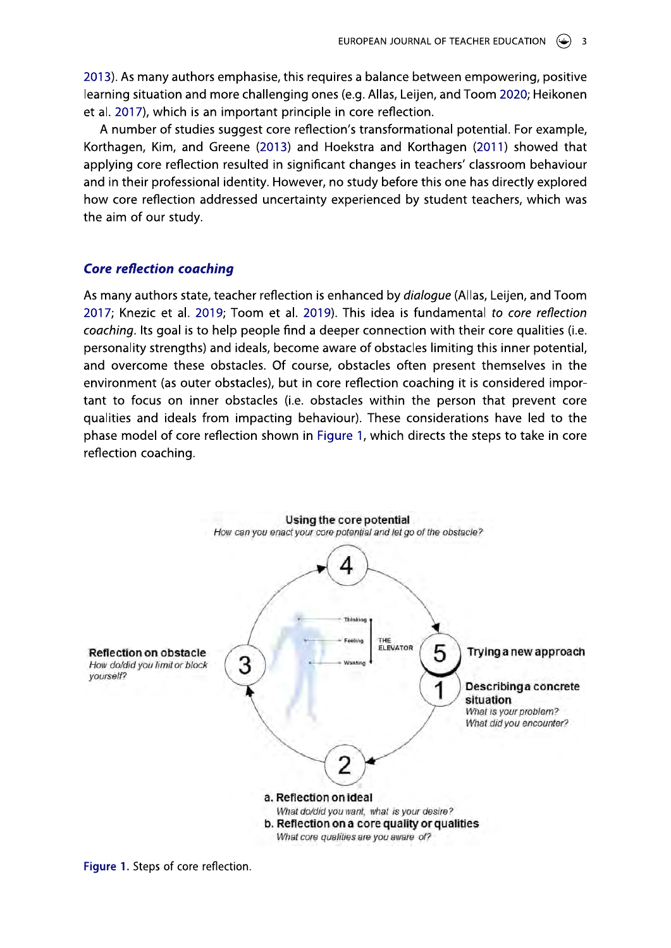2013). As many authors emphasise, this requires a balance between empowering, positive learning situation and more challenging ones (e.g. Allas, Leijen, and Toom 2020; Heikonen et al. 2017), which is an important principle in core reflection.

A number of studies suggest core reflection's transformational potential. For example, Korthagen, Kim, and Greene (2013) and Hoekstra and Korthagen (2011) showed that applying core reflection resulted in significant changes in teachers' classroom behaviour and in their professional identity. However, no study before this one has directly explored how core reflection addressed uncertainty experienced by student teachers, which was the aim of our study.

# **Core reflection coaching**

As many authors state, teacher reflection is enhanced by *dialoque* (Allas, Leijen, and Toom 2017; Knezic et al. 2019; Toom et al. 2019). This idea is fundamental to core reflection coaching. Its goal is to help people find a deeper connection with their core qualities (i.e. personality strengths) and ideals, become aware of obstacles limiting this inner potential, and overcome these obstacles. Of course, obstacles often present themselves in the environment (as outer obstacles), but in core reflection coaching it is considered important to focus on inner obstacles (i.e. obstacles within the person that prevent core qualities and ideals from impacting behaviour). These considerations have led to the phase model of core reflection shown in Figure 1, which directs the steps to take in core reflection coaching.



Figure 1. Steps of core reflection.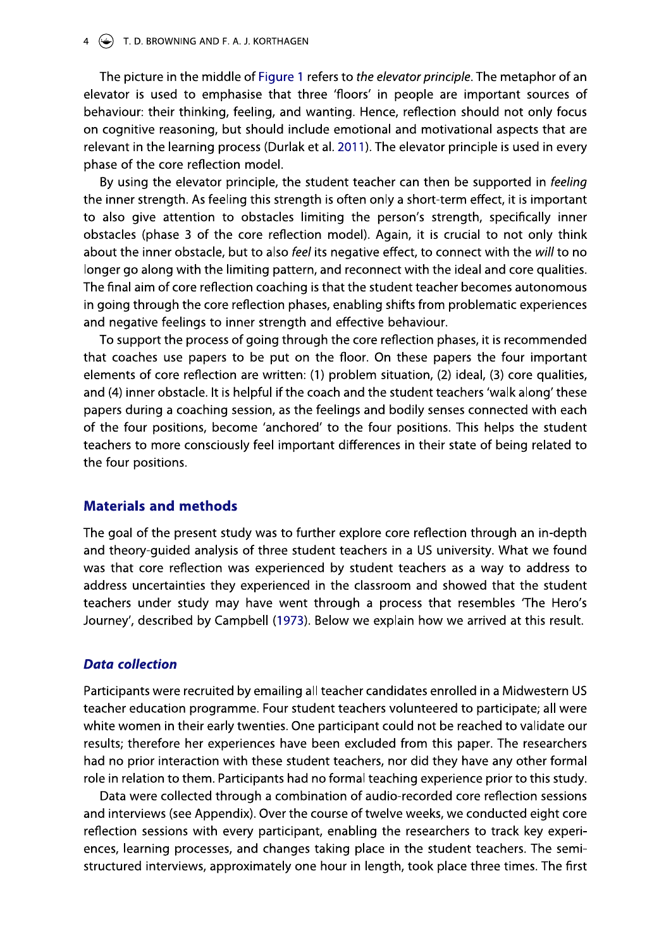#### 4  $(\bigstar)$  T. D. BROWNING AND F. A. J. KORTHAGEN

The picture in the middle of Figure 1 refers to the elevator principle. The metaphor of an elevator is used to emphasise that three 'floors' in people are important sources of behaviour: their thinking, feeling, and wanting. Hence, reflection should not only focus on cognitive reasoning, but should include emotional and motivational aspects that are relevant in the learning process (Durlak et al. 2011). The elevator principle is used in every phase of the core reflection model.

By using the elevator principle, the student teacher can then be supported in feeling the inner strength. As feeling this strength is often only a short-term effect, it is important to also give attention to obstacles limiting the person's strength, specifically inner obstacles (phase 3 of the core reflection model). Again, it is crucial to not only think about the inner obstacle, but to also feel its negative effect, to connect with the will to no longer go along with the limiting pattern, and reconnect with the ideal and core qualities. The final aim of core reflection coaching is that the student teacher becomes autonomous in going through the core reflection phases, enabling shifts from problematic experiences and negative feelings to inner strength and effective behaviour.

To support the process of going through the core reflection phases, it is recommended that coaches use papers to be put on the floor. On these papers the four important elements of core reflection are written: (1) problem situation, (2) ideal, (3) core qualities, and (4) inner obstacle. It is helpful if the coach and the student teachers 'walk along' these papers during a coaching session, as the feelings and bodily senses connected with each of the four positions, become 'anchored' to the four positions. This helps the student teachers to more consciously feel important differences in their state of being related to the four positions.

### **Materials and methods**

The goal of the present study was to further explore core reflection through an in-depth and theory-quided analysis of three student teachers in a US university. What we found was that core reflection was experienced by student teachers as a way to address to address uncertainties they experienced in the classroom and showed that the student teachers under study may have went through a process that resembles 'The Hero's Journey', described by Campbell (1973). Below we explain how we arrived at this result.

# **Data collection**

Participants were recruited by emailing all teacher candidates enrolled in a Midwestern US teacher education programme. Four student teachers volunteered to participate; all were white women in their early twenties. One participant could not be reached to validate our results; therefore her experiences have been excluded from this paper. The researchers had no prior interaction with these student teachers, nor did they have any other formal role in relation to them. Participants had no formal teaching experience prior to this study.

Data were collected through a combination of audio-recorded core reflection sessions and interviews (see Appendix). Over the course of twelve weeks, we conducted eight core reflection sessions with every participant, enabling the researchers to track key experiences, learning processes, and changes taking place in the student teachers. The semistructured interviews, approximately one hour in length, took place three times. The first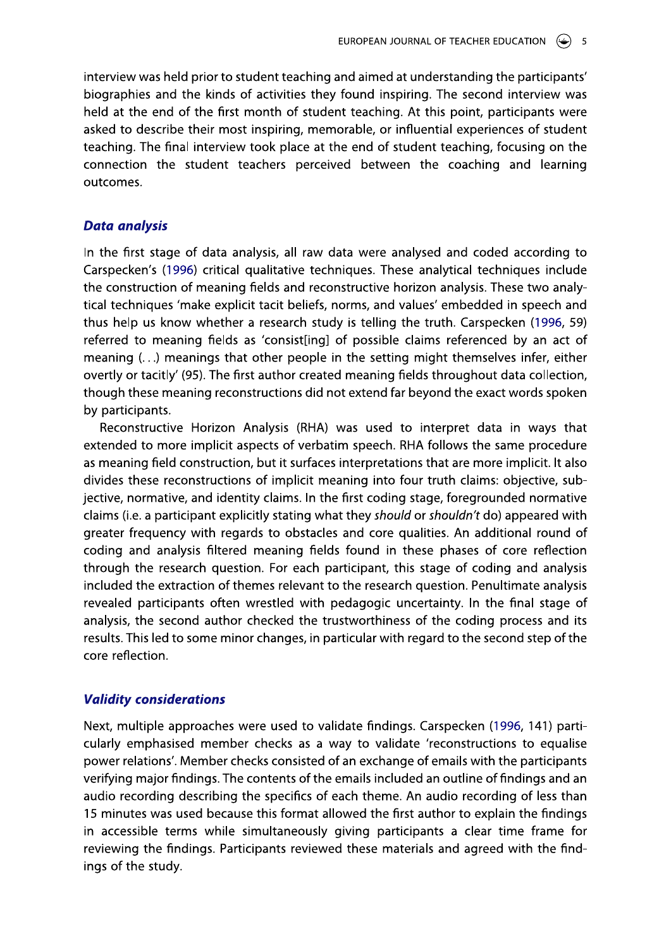interview was held prior to student teaching and aimed at understanding the participants' biographies and the kinds of activities they found inspiring. The second interview was held at the end of the first month of student teaching. At this point, participants were asked to describe their most inspiring, memorable, or influential experiences of student teaching. The final interview took place at the end of student teaching, focusing on the connection the student teachers perceived between the coaching and learning outcomes.

## **Data analysis**

In the first stage of data analysis, all raw data were analysed and coded according to Carspecken's (1996) critical qualitative techniques. These analytical techniques include the construction of meaning fields and reconstructive horizon analysis. These two analytical techniques 'make explicit tacit beliefs, norms, and values' embedded in speech and thus help us know whether a research study is telling the truth. Carspecken (1996, 59) referred to meaning fields as 'consist[ing] of possible claims referenced by an act of meaning (...) meanings that other people in the setting might themselves infer, either overtly or tacitly' (95). The first author created meaning fields throughout data collection, though these meaning reconstructions did not extend far beyond the exact words spoken by participants.

Reconstructive Horizon Analysis (RHA) was used to interpret data in ways that extended to more implicit aspects of verbatim speech. RHA follows the same procedure as meaning field construction, but it surfaces interpretations that are more implicit. It also divides these reconstructions of implicit meaning into four truth claims: objective, subjective, normative, and identity claims. In the first coding stage, foregrounded normative claims (i.e. a participant explicitly stating what they should or shouldn't do) appeared with greater frequency with regards to obstacles and core qualities. An additional round of coding and analysis filtered meaning fields found in these phases of core reflection through the research question. For each participant, this stage of coding and analysis included the extraction of themes relevant to the research question. Penultimate analysis revealed participants often wrestled with pedagogic uncertainty. In the final stage of analysis, the second author checked the trustworthiness of the coding process and its results. This led to some minor changes, in particular with regard to the second step of the core reflection.

# **Validity considerations**

Next, multiple approaches were used to validate findings. Carspecken (1996, 141) particularly emphasised member checks as a way to validate 'reconstructions to equalise power relations'. Member checks consisted of an exchange of emails with the participants verifying major findings. The contents of the emails included an outline of findings and an audio recording describing the specifics of each theme. An audio recording of less than 15 minutes was used because this format allowed the first author to explain the findings in accessible terms while simultaneously giving participants a clear time frame for reviewing the findings. Participants reviewed these materials and agreed with the findings of the study.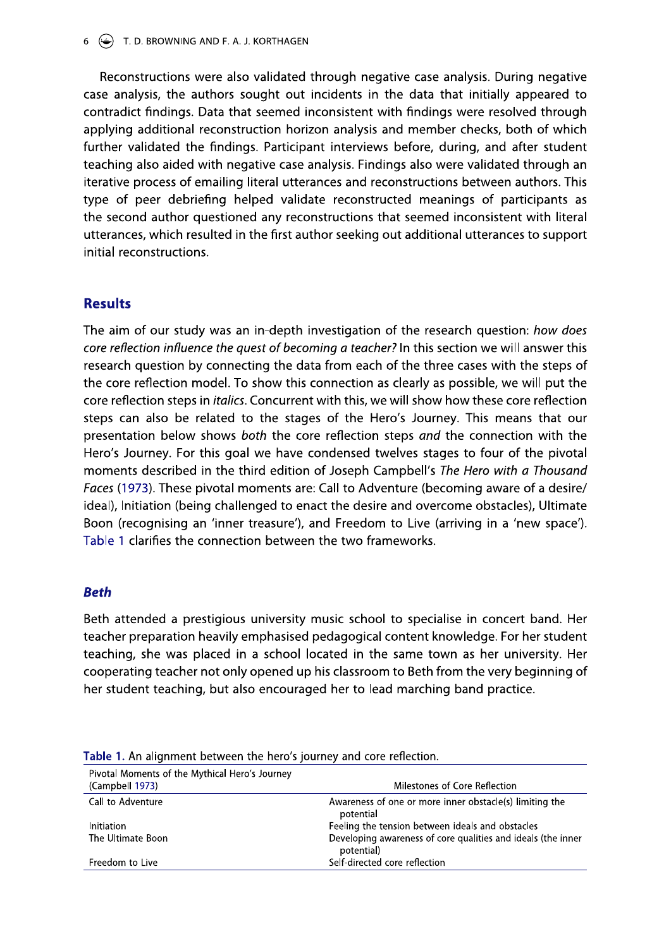Reconstructions were also validated through negative case analysis. During negative case analysis, the authors sought out incidents in the data that initially appeared to contradict findings. Data that seemed inconsistent with findings were resolved through applying additional reconstruction horizon analysis and member checks, both of which further validated the findings. Participant interviews before, during, and after student teaching also aided with negative case analysis. Findings also were validated through an iterative process of emailing literal utterances and reconstructions between authors. This type of peer debriefing helped validate reconstructed meanings of participants as the second author questioned any reconstructions that seemed inconsistent with literal utterances, which resulted in the first author seeking out additional utterances to support initial reconstructions.

# **Results**

The aim of our study was an in-depth investigation of the research question: how does core reflection influence the quest of becoming a teacher? In this section we will answer this research question by connecting the data from each of the three cases with the steps of the core reflection model. To show this connection as clearly as possible, we will put the core reflection steps in *italics*. Concurrent with this, we will show how these core reflection steps can also be related to the stages of the Hero's Journey. This means that our presentation below shows both the core reflection steps and the connection with the Hero's Journey. For this goal we have condensed twelves stages to four of the pivotal moments described in the third edition of Joseph Campbell's The Hero with a Thousand Faces (1973). These pivotal moments are: Call to Adventure (becoming aware of a desire/ ideal), Initiation (being challenged to enact the desire and overcome obstacles), Ultimate Boon (recognising an 'inner treasure'), and Freedom to Live (arriving in a 'new space'). Table 1 clarifies the connection between the two frameworks.

# **Beth**

Beth attended a prestigious university music school to specialise in concert band. Her teacher preparation heavily emphasised pedagogical content knowledge. For her student teaching, she was placed in a school located in the same town as her university. Her cooperating teacher not only opened up his classroom to Beth from the very beginning of her student teaching, but also encouraged her to lead marching band practice.

| Pivotal Moments of the Mythical Hero's Journey<br>(Campbell 1973) | Milestones of Core Reflection                                              |
|-------------------------------------------------------------------|----------------------------------------------------------------------------|
| Call to Adventure                                                 | Awareness of one or more inner obstacle(s) limiting the<br>potential       |
| Initiation                                                        | Feeling the tension between ideals and obstacles                           |
| The Ultimate Boon                                                 | Developing awareness of core qualities and ideals (the inner<br>potential) |
| Freedom to Live                                                   | Self-directed core reflection                                              |

Table 1. An alignment between the hero's journey and core reflection.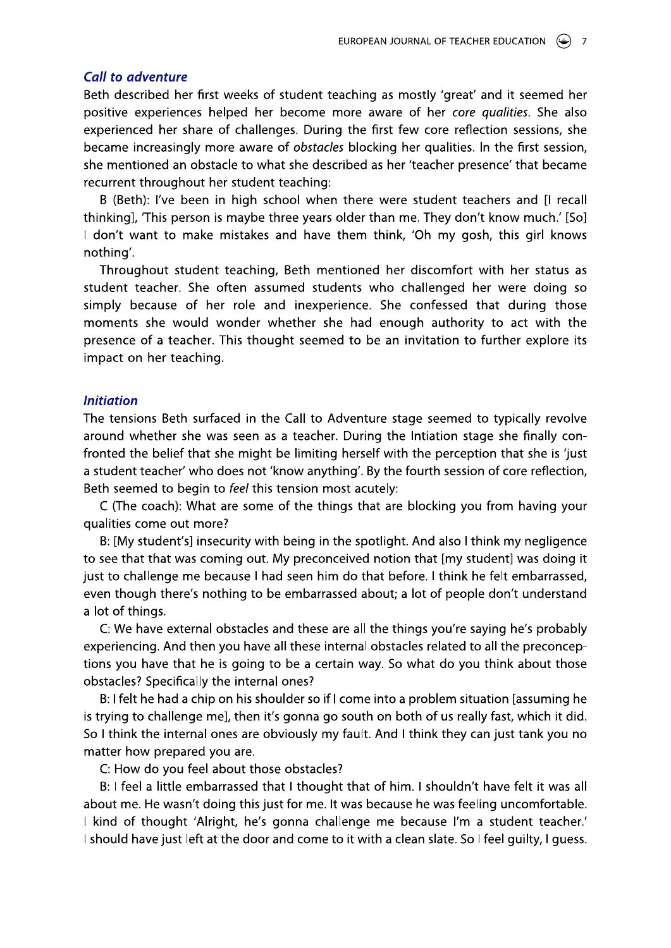# **Call to adventure**

Beth described her first weeks of student teaching as mostly 'great' and it seemed her positive experiences helped her become more aware of her core qualities. She also experienced her share of challenges. During the first few core reflection sessions, she became increasingly more aware of *obstacles* blocking her qualities. In the first session, she mentioned an obstacle to what she described as her 'teacher presence' that became recurrent throughout her student teaching:

B (Beth): I've been in high school when there were student teachers and [I recall thinking], 'This person is maybe three years older than me. They don't know much.' [So] I don't want to make mistakes and have them think, 'Oh my gosh, this girl knows nothing'.

Throughout student teaching, Beth mentioned her discomfort with her status as student teacher. She often assumed students who challenged her were doing so simply because of her role and inexperience. She confessed that during those moments she would wonder whether she had enough authority to act with the presence of a teacher. This thought seemed to be an invitation to further explore its impact on her teaching.

#### **Initiation**

The tensions Beth surfaced in the Call to Adventure stage seemed to typically revolve around whether she was seen as a teacher. During the Intiation stage she finally confronted the belief that she might be limiting herself with the perception that she is 'just a student teacher' who does not 'know anything'. By the fourth session of core reflection, Beth seemed to begin to feel this tension most acutely:

C (The coach): What are some of the things that are blocking you from having your qualities come out more?

B: [My student's] insecurity with being in the spotlight. And also I think my negligence to see that that was coming out. My preconceived notion that [my student] was doing it just to challenge me because I had seen him do that before. I think he felt embarrassed, even though there's nothing to be embarrassed about; a lot of people don't understand a lot of things.

C: We have external obstacles and these are all the things you're saying he's probably experiencing. And then you have all these internal obstacles related to all the preconceptions you have that he is going to be a certain way. So what do you think about those obstacles? Specifically the internal ones?

B: I felt he had a chip on his shoulder so if I come into a problem situation [assuming he is trying to challenge me], then it's gonna go south on both of us really fast, which it did. So I think the internal ones are obviously my fault. And I think they can just tank you no matter how prepared you are.

C: How do you feel about those obstacles?

B: I feel a little embarrassed that I thought that of him. I shouldn't have felt it was all about me. He wasn't doing this just for me. It was because he was feeling uncomfortable. I kind of thought 'Alright, he's gonna challenge me because I'm a student teacher.' I should have just left at the door and come to it with a clean slate. So I feel quilty, I quess.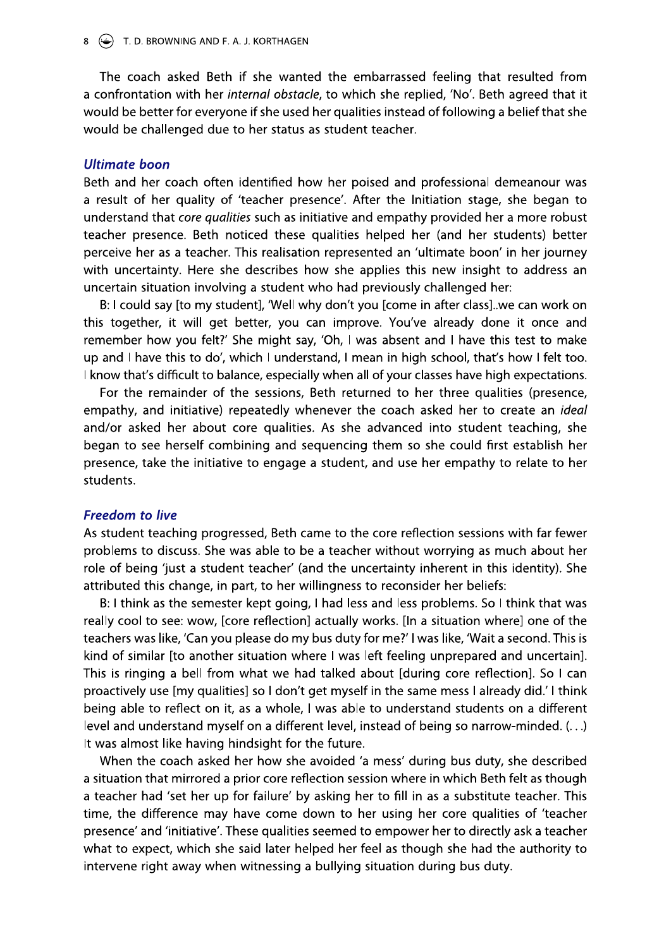The coach asked Beth if she wanted the embarrassed feeling that resulted from a confrontation with her *internal obstacle*, to which she replied, 'No'. Beth agreed that it would be better for everyone if she used her qualities instead of following a belief that she would be challenged due to her status as student teacher.

# **Ultimate boon**

Beth and her coach often identified how her poised and professional demeanour was a result of her quality of 'teacher presence'. After the Initiation stage, she began to understand that core qualities such as initiative and empathy provided her a more robust teacher presence. Beth noticed these qualities helped her (and her students) better perceive her as a teacher. This realisation represented an 'ultimate boon' in her journey with uncertainty. Here she describes how she applies this new insight to address an uncertain situation involving a student who had previously challenged her:

B: I could say [to my student], 'Well why don't you [come in after class]. we can work on this together, it will get better, you can improve. You've already done it once and remember how you felt?' She might say, 'Oh, I was absent and I have this test to make up and I have this to do', which I understand, I mean in high school, that's how I felt too. I know that's difficult to balance, especially when all of your classes have high expectations.

For the remainder of the sessions, Beth returned to her three qualities (presence, empathy, and initiative) repeatedly whenever the coach asked her to create an *ideal* and/or asked her about core qualities. As she advanced into student teaching, she began to see herself combining and sequencing them so she could first establish her presence, take the initiative to engage a student, and use her empathy to relate to her students.

### **Freedom to live**

As student teaching progressed, Beth came to the core reflection sessions with far fewer problems to discuss. She was able to be a teacher without worrying as much about her role of being 'just a student teacher' (and the uncertainty inherent in this identity). She attributed this change, in part, to her willingness to reconsider her beliefs:

B: I think as the semester kept going, I had less and less problems. So I think that was really cool to see: wow, [core reflection] actually works. [In a situation where] one of the teachers was like, 'Can you please do my bus duty for me?' I was like, 'Wait a second. This is kind of similar [to another situation where I was left feeling unprepared and uncertain]. This is ringing a bell from what we had talked about [during core reflection]. So I can proactively use [my qualities] so I don't get myself in the same mess I already did.' I think being able to reflect on it, as a whole, I was able to understand students on a different level and understand myself on a different level, instead of being so narrow-minded. (...) It was almost like having hindsight for the future.

When the coach asked her how she avoided 'a mess' during bus duty, she described a situation that mirrored a prior core reflection session where in which Beth felt as though a teacher had 'set her up for failure' by asking her to fill in as a substitute teacher. This time, the difference may have come down to her using her core qualities of 'teacher presence' and 'initiative'. These qualities seemed to empower her to directly ask a teacher what to expect, which she said later helped her feel as though she had the authority to intervene right away when witnessing a bullying situation during bus duty.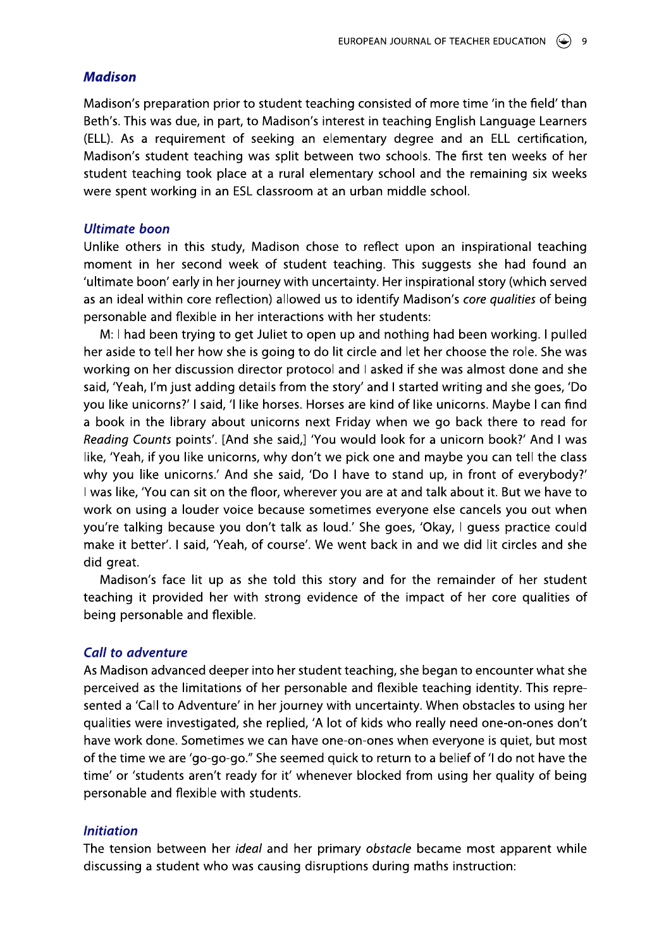# **Madison**

Madison's preparation prior to student teaching consisted of more time 'in the field' than Beth's. This was due, in part, to Madison's interest in teaching English Language Learners (ELL). As a requirement of seeking an elementary degree and an ELL certification, Madison's student teaching was split between two schools. The first ten weeks of her student teaching took place at a rural elementary school and the remaining six weeks were spent working in an ESL classroom at an urban middle school.

### **Ultimate boon**

Unlike others in this study, Madison chose to reflect upon an inspirational teaching moment in her second week of student teaching. This suggests she had found an 'ultimate boon' early in her journey with uncertainty. Her inspirational story (which served as an ideal within core reflection) allowed us to identify Madison's core qualities of being personable and flexible in her interactions with her students:

M: I had been trying to get Juliet to open up and nothing had been working. I pulled her aside to tell her how she is going to do lit circle and let her choose the role. She was working on her discussion director protocol and I asked if she was almost done and she said, 'Yeah, I'm just adding details from the story' and I started writing and she goes, 'Do you like unicorns?' I said, 'I like horses. Horses are kind of like unicorns. Maybe I can find a book in the library about unicorns next Friday when we go back there to read for Reading Counts points'. [And she said,] 'You would look for a unicorn book?' And I was like, 'Yeah, if you like unicorns, why don't we pick one and maybe you can tell the class why you like unicorns.' And she said, 'Do I have to stand up, in front of everybody?' I was like, 'You can sit on the floor, wherever you are at and talk about it. But we have to work on using a louder voice because sometimes everyone else cancels you out when you're talking because you don't talk as loud.' She goes, 'Okay, I guess practice could make it better'. I said, 'Yeah, of course'. We went back in and we did lit circles and she did great.

Madison's face lit up as she told this story and for the remainder of her student teaching it provided her with strong evidence of the impact of her core qualities of being personable and flexible.

#### **Call to adventure**

As Madison advanced deeper into her student teaching, she began to encounter what she perceived as the limitations of her personable and flexible teaching identity. This represented a 'Call to Adventure' in her journey with uncertainty. When obstacles to using her qualities were investigated, she replied, 'A lot of kids who really need one-on-ones don't have work done. Sometimes we can have one-on-ones when everyone is quiet, but most of the time we are 'go-go-go." She seemed quick to return to a belief of 'I do not have the time' or 'students aren't ready for it' whenever blocked from using her quality of being personable and flexible with students.

# **Initiation**

The tension between her *ideal* and her primary obstacle became most apparent while discussing a student who was causing disruptions during maths instruction: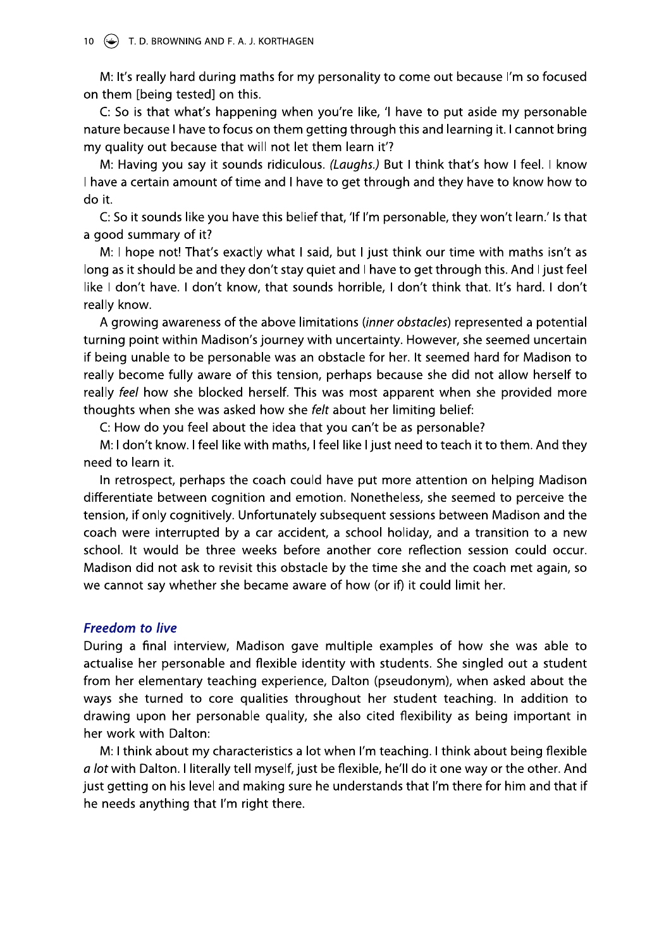M: It's really hard during maths for my personality to come out because I'm so focused on them [being tested] on this.

C: So is that what's happening when you're like, 'I have to put aside my personable nature because I have to focus on them getting through this and learning it. I cannot bring my quality out because that will not let them learn it'?

M: Having you say it sounds ridiculous. (Laughs.) But I think that's how I feel. I know I have a certain amount of time and I have to get through and they have to know how to do it.

C: So it sounds like you have this belief that, 'If I'm personable, they won't learn.' Is that a good summary of it?

M: I hope not! That's exactly what I said, but I just think our time with maths isn't as long as it should be and they don't stay quiet and I have to get through this. And I just feel like I don't have. I don't know, that sounds horrible, I don't think that. It's hard. I don't really know.

A growing awareness of the above limitations (*inner obstacles*) represented a potential turning point within Madison's journey with uncertainty. However, she seemed uncertain if being unable to be personable was an obstacle for her. It seemed hard for Madison to really become fully aware of this tension, perhaps because she did not allow herself to really feel how she blocked herself. This was most apparent when she provided more thoughts when she was asked how she felt about her limiting belief:

C: How do you feel about the idea that you can't be as personable?

M: I don't know. I feel like with maths, I feel like I just need to teach it to them. And they need to learn it.

In retrospect, perhaps the coach could have put more attention on helping Madison differentiate between cognition and emotion. Nonetheless, she seemed to perceive the tension, if only cognitively. Unfortunately subsequent sessions between Madison and the coach were interrupted by a car accident, a school holiday, and a transition to a new school. It would be three weeks before another core reflection session could occur. Madison did not ask to revisit this obstacle by the time she and the coach met again, so we cannot say whether she became aware of how (or if) it could limit her.

# **Freedom to live**

During a final interview, Madison gave multiple examples of how she was able to actualise her personable and flexible identity with students. She singled out a student from her elementary teaching experience, Dalton (pseudonym), when asked about the ways she turned to core qualities throughout her student teaching. In addition to drawing upon her personable quality, she also cited flexibility as being important in her work with Dalton:

M: I think about my characteristics a lot when I'm teaching. I think about being flexible a lot with Dalton. I literally tell myself, just be flexible, he'll do it one way or the other. And just getting on his level and making sure he understands that I'm there for him and that if he needs anything that I'm right there.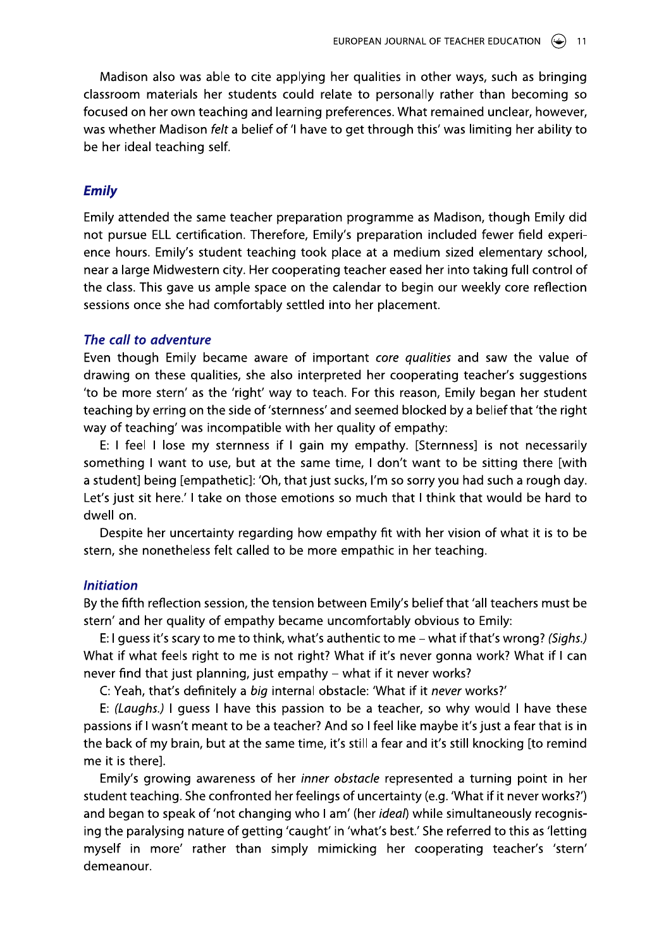Madison also was able to cite applying her qualities in other ways, such as bringing classroom materials her students could relate to personally rather than becoming so focused on her own teaching and learning preferences. What remained unclear, however, was whether Madison felt a belief of 'I have to get through this' was limiting her ability to be her ideal teaching self.

# **Emily**

Emily attended the same teacher preparation programme as Madison, though Emily did not pursue ELL certification. Therefore, Emily's preparation included fewer field experience hours. Emily's student teaching took place at a medium sized elementary school, near a large Midwestern city. Her cooperating teacher eased her into taking full control of the class. This gave us ample space on the calendar to begin our weekly core reflection sessions once she had comfortably settled into her placement.

# The call to adventure

Even though Emily became aware of important core qualities and saw the value of drawing on these qualities, she also interpreted her cooperating teacher's suggestions 'to be more stern' as the 'right' way to teach. For this reason, Emily began her student teaching by erring on the side of 'sternness' and seemed blocked by a belief that 'the right way of teaching' was incompatible with her quality of empathy:

E: I feel I lose my sternness if I gain my empathy. [Sternness] is not necessarily something I want to use, but at the same time, I don't want to be sitting there [with a student] being [empathetic]: 'Oh, that just sucks, I'm so sorry you had such a rough day. Let's just sit here.' I take on those emotions so much that I think that would be hard to dwell on.

Despite her uncertainty regarding how empathy fit with her vision of what it is to be stern, she nonetheless felt called to be more empathic in her teaching.

# **Initiation**

By the fifth reflection session, the tension between Emily's belief that 'all teachers must be stern' and her quality of empathy became uncomfortably obvious to Emily:

E: I guess it's scary to me to think, what's authentic to me - what if that's wrong? (Sighs.) What if what feels right to me is not right? What if it's never gonna work? What if I can never find that just planning, just empathy - what if it never works?

C: Yeah, that's definitely a big internal obstacle: 'What if it never works?'

E: (Laughs.) I guess I have this passion to be a teacher, so why would I have these passions if I wasn't meant to be a teacher? And so I feel like maybe it's just a fear that is in the back of my brain, but at the same time, it's still a fear and it's still knocking [to remind me it is therel.

Emily's growing awareness of her *inner obstacle* represented a turning point in her student teaching. She confronted her feelings of uncertainty (e.g. 'What if it never works?') and began to speak of 'not changing who I am' (her ideal) while simultaneously recognising the paralysing nature of getting 'caught' in 'what's best.' She referred to this as 'letting myself in more' rather than simply mimicking her cooperating teacher's 'stern' demeanour.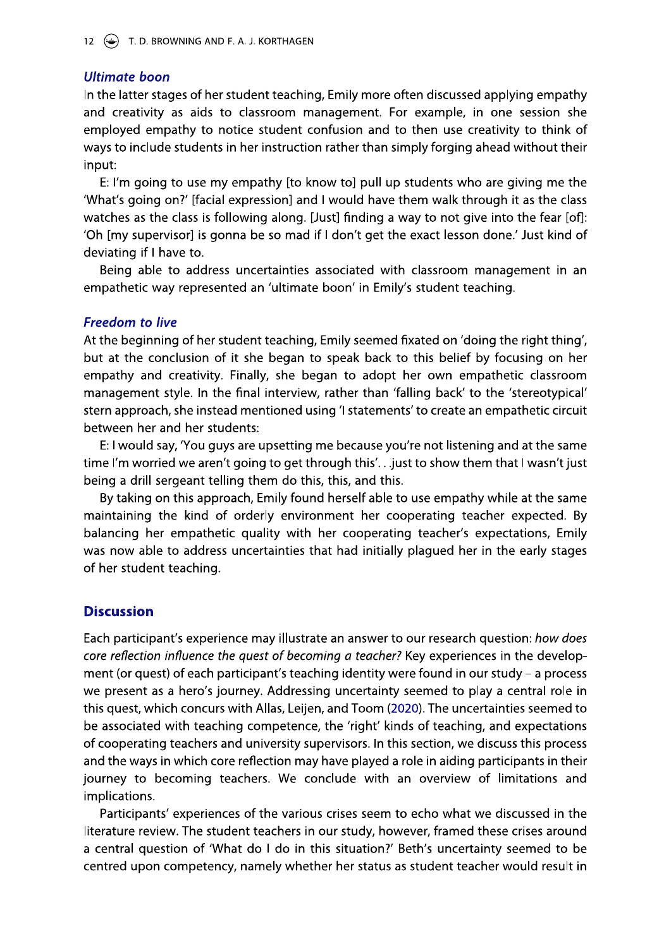# **Ultimate boon**

In the latter stages of her student teaching, Emily more often discussed applying empathy and creativity as aids to classroom management. For example, in one session she employed empathy to notice student confusion and to then use creativity to think of ways to include students in her instruction rather than simply forging ahead without their input:

E: I'm going to use my empathy [to know to] pull up students who are giving me the 'What's going on?' [facial expression] and I would have them walk through it as the class watches as the class is following along. [Just] finding a way to not give into the fear [of]: 'Oh [my supervisor] is gonna be so mad if I don't get the exact lesson done.' Just kind of deviating if I have to.

Being able to address uncertainties associated with classroom management in an empathetic way represented an 'ultimate boon' in Emily's student teaching.

# **Freedom to live**

At the beginning of her student teaching, Emily seemed fixated on 'doing the right thing', but at the conclusion of it she began to speak back to this belief by focusing on her empathy and creativity. Finally, she began to adopt her own empathetic classroom management style. In the final interview, rather than 'falling back' to the 'stereotypical' stern approach, she instead mentioned using 'I statements' to create an empathetic circuit between her and her students:

E: I would say, 'You guys are upsetting me because you're not listening and at the same time I'm worried we aren't going to get through this'... just to show them that I wasn't just being a drill sergeant telling them do this, this, and this.

By taking on this approach, Emily found herself able to use empathy while at the same maintaining the kind of orderly environment her cooperating teacher expected. By balancing her empathetic quality with her cooperating teacher's expectations, Emily was now able to address uncertainties that had initially plagued her in the early stages of her student teaching.

# **Discussion**

Each participant's experience may illustrate an answer to our research question: how does core reflection influence the quest of becoming a teacher? Key experiences in the development (or quest) of each participant's teaching identity were found in our study - a process we present as a hero's journey. Addressing uncertainty seemed to play a central role in this quest, which concurs with Allas, Leijen, and Toom (2020). The uncertainties seemed to be associated with teaching competence, the 'right' kinds of teaching, and expectations of cooperating teachers and university supervisors. In this section, we discuss this process and the ways in which core reflection may have played a role in aiding participants in their journey to becoming teachers. We conclude with an overview of limitations and implications.

Participants' experiences of the various crises seem to echo what we discussed in the literature review. The student teachers in our study, however, framed these crises around a central question of 'What do I do in this situation?' Beth's uncertainty seemed to be centred upon competency, namely whether her status as student teacher would result in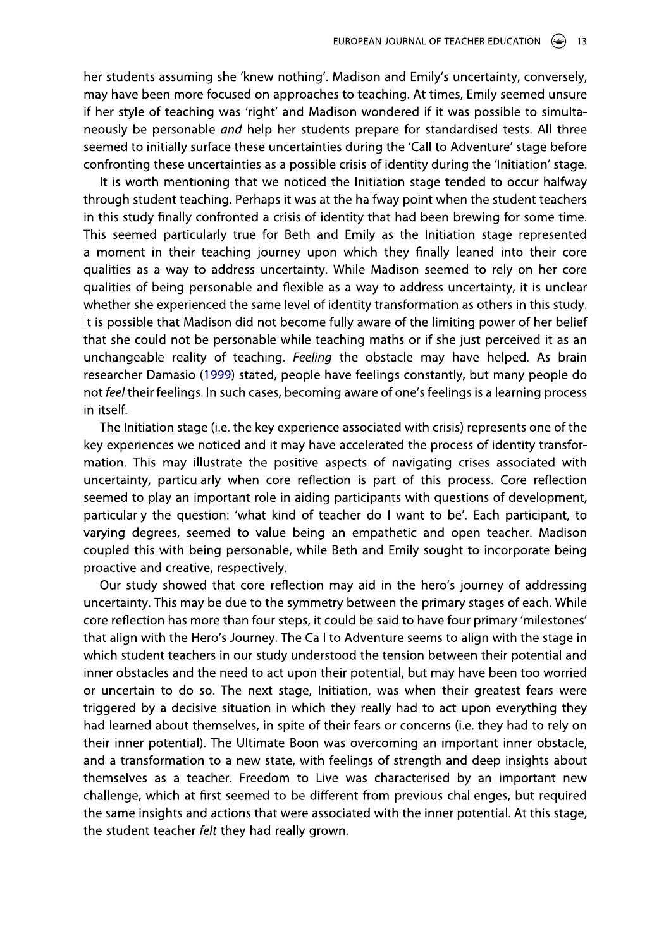her students assuming she 'knew nothing'. Madison and Emily's uncertainty, conversely, may have been more focused on approaches to teaching. At times, Emily seemed unsure if her style of teaching was 'right' and Madison wondered if it was possible to simultaneously be personable and help her students prepare for standardised tests. All three seemed to initially surface these uncertainties during the 'Call to Adventure' stage before confronting these uncertainties as a possible crisis of identity during the 'Initiation' stage.

It is worth mentioning that we noticed the Initiation stage tended to occur halfway through student teaching. Perhaps it was at the halfway point when the student teachers in this study finally confronted a crisis of identity that had been brewing for some time. This seemed particularly true for Beth and Emily as the Initiation stage represented a moment in their teaching journey upon which they finally leaned into their core qualities as a way to address uncertainty. While Madison seemed to rely on her core qualities of being personable and flexible as a way to address uncertainty, it is unclear whether she experienced the same level of identity transformation as others in this study. It is possible that Madison did not become fully aware of the limiting power of her belief that she could not be personable while teaching maths or if she just perceived it as an unchangeable reality of teaching. Feeling the obstacle may have helped. As brain researcher Damasio (1999) stated, people have feelings constantly, but many people do not feel their feelings. In such cases, becoming aware of one's feelings is a learning process in itself.

The Initiation stage (i.e. the key experience associated with crisis) represents one of the key experiences we noticed and it may have accelerated the process of identity transformation. This may illustrate the positive aspects of navigating crises associated with uncertainty, particularly when core reflection is part of this process. Core reflection seemed to play an important role in aiding participants with questions of development, particularly the question: 'what kind of teacher do I want to be'. Each participant, to varying degrees, seemed to value being an empathetic and open teacher. Madison coupled this with being personable, while Beth and Emily sought to incorporate being proactive and creative, respectively.

Our study showed that core reflection may aid in the hero's journey of addressing uncertainty. This may be due to the symmetry between the primary stages of each. While core reflection has more than four steps, it could be said to have four primary 'milestones' that align with the Hero's Journey. The Call to Adventure seems to align with the stage in which student teachers in our study understood the tension between their potential and inner obstacles and the need to act upon their potential, but may have been too worried or uncertain to do so. The next stage, Initiation, was when their greatest fears were triggered by a decisive situation in which they really had to act upon everything they had learned about themselves, in spite of their fears or concerns (i.e. they had to rely on their inner potential). The Ultimate Boon was overcoming an important inner obstacle, and a transformation to a new state, with feelings of strength and deep insights about themselves as a teacher. Freedom to Live was characterised by an important new challenge, which at first seemed to be different from previous challenges, but required the same insights and actions that were associated with the inner potential. At this stage, the student teacher felt they had really grown.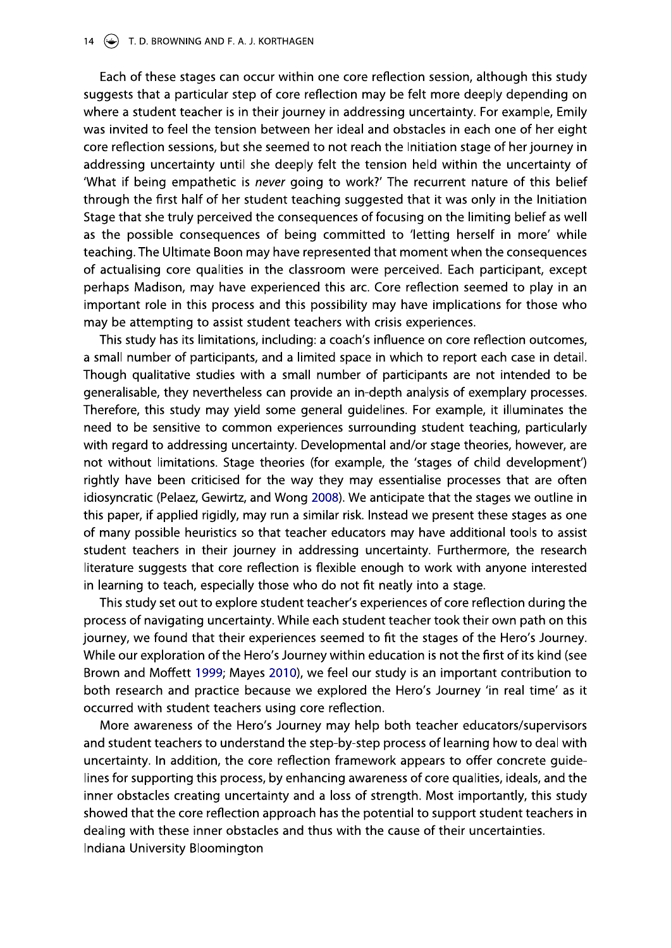Each of these stages can occur within one core reflection session, although this study suggests that a particular step of core reflection may be felt more deeply depending on where a student teacher is in their journey in addressing uncertainty. For example, Emily was invited to feel the tension between her ideal and obstacles in each one of her eight core reflection sessions, but she seemed to not reach the Initiation stage of her journey in addressing uncertainty until she deeply felt the tension held within the uncertainty of 'What if being empathetic is never going to work?' The recurrent nature of this belief through the first half of her student teaching suggested that it was only in the Initiation Stage that she truly perceived the consequences of focusing on the limiting belief as well as the possible consequences of being committed to 'letting herself in more' while teaching. The Ultimate Boon may have represented that moment when the consequences of actualising core qualities in the classroom were perceived. Each participant, except perhaps Madison, may have experienced this arc. Core reflection seemed to play in an important role in this process and this possibility may have implications for those who may be attempting to assist student teachers with crisis experiences.

This study has its limitations, including: a coach's influence on core reflection outcomes, a small number of participants, and a limited space in which to report each case in detail. Though qualitative studies with a small number of participants are not intended to be generalisable, they nevertheless can provide an in-depth analysis of exemplary processes. Therefore, this study may yield some general guidelines. For example, it illuminates the need to be sensitive to common experiences surrounding student teaching, particularly with regard to addressing uncertainty. Developmental and/or stage theories, however, are not without limitations. Stage theories (for example, the 'stages of child development') rightly have been criticised for the way they may essentialise processes that are often idiosyncratic (Pelaez, Gewirtz, and Wong 2008). We anticipate that the stages we outline in this paper, if applied rigidly, may run a similar risk. Instead we present these stages as one of many possible heuristics so that teacher educators may have additional tools to assist student teachers in their journey in addressing uncertainty. Furthermore, the research literature suggests that core reflection is flexible enough to work with anyone interested in learning to teach, especially those who do not fit neatly into a stage.

This study set out to explore student teacher's experiences of core reflection during the process of navigating uncertainty. While each student teacher took their own path on this journey, we found that their experiences seemed to fit the stages of the Hero's Journey. While our exploration of the Hero's Journey within education is not the first of its kind (see Brown and Moffett 1999; Mayes 2010), we feel our study is an important contribution to both research and practice because we explored the Hero's Journey 'in real time' as it occurred with student teachers using core reflection.

More awareness of the Hero's Journey may help both teacher educators/supervisors and student teachers to understand the step-by-step process of learning how to deal with uncertainty. In addition, the core reflection framework appears to offer concrete quidelines for supporting this process, by enhancing awareness of core qualities, ideals, and the inner obstacles creating uncertainty and a loss of strength. Most importantly, this study showed that the core reflection approach has the potential to support student teachers in dealing with these inner obstacles and thus with the cause of their uncertainties. Indiana University Bloomington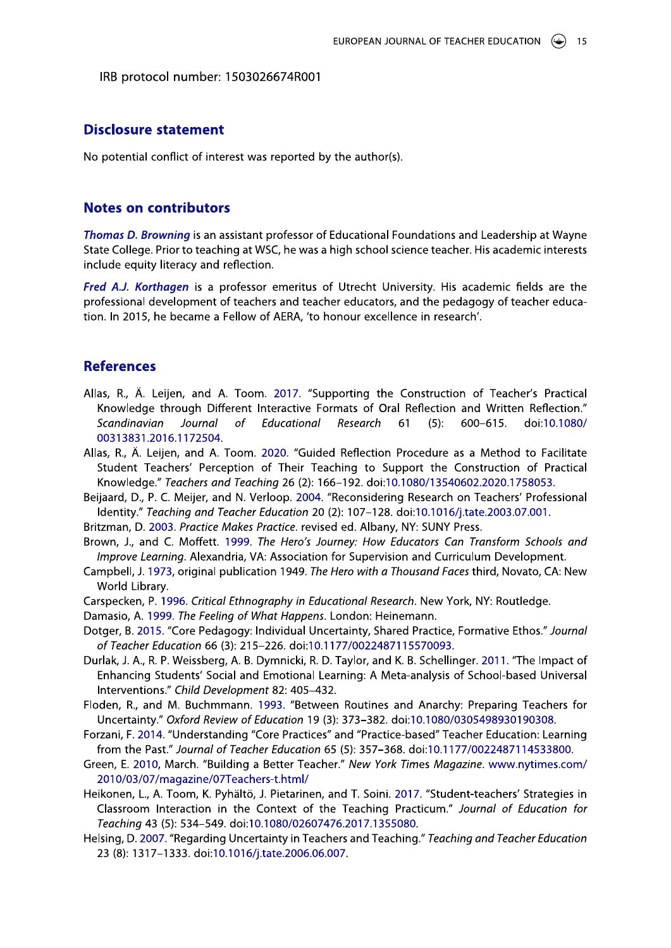IRB protocol number: 1503026674R001

IRB protocol number: 15030<br> **Disclosure statement**<br>
No potential conflict of interest w<br> **Notes on contributors**<br>
Thomas D. Browning is an assistar<br>
State College. Prior to teaching at linclude equity literacy and reflecti State College. Prior to teaching at WSC, he was a high school science teacher. His academic interests include equity literacy and reflection.

EUROPEAN JOUKNAL OF TEACHER<br>
IRB protocol number: 1503026674R001<br> **Disclosure statement**<br>
No potential conflict of interest was reported by the author(s).<br> **Notes on contributors**<br> *Thomas D. Browning* is an assistant prof **Disclosure statement**<br>
No potential conflict of interest was reported by the author(s).<br> **Notes on contributors**<br>
Thomas D. Browning is an assistant professor of Educational Foundations and Leadership at Wayne<br>
State Coll No potential conflict of interest was reported by the author(s).<br> **Notes on contributors**<br> *Thomas D. Browning* is an assistant professor of Educational Foundations<br>
State College. Prior to teaching at WSC, he was a high s No potential conflict of interest was reported by the author(s).<br>
Notes on contributors<br>
Thomas D. Browning is an assistant professor of Educational Foundations and Leadership at Wayne<br>
State College. Prior to teaching at No potential conflict of interest was<br> **Notes on contributors**<br>
Thomas D. Browning is an assistant<br>
State College. Prior to teaching at W<br>
include equity literacy and reflectio<br>
Fred A.J. Korthagen is a professon<br>
professi No potential conflict of interest was reported by the author(s).<br> **Notes on contributors**<br>
Thomas D. Browning is an assistant professor of Educational Foundations and Leadership at Wayne<br>
State College. Prior to teaching a **Notes on contributors**<br>
Thomas D. Browning is an assistant professor of Educational Foundations and Leadership at Wayne<br>
State College. Prior to teaching at WSC, he was a high school science teacher. His academic interest professional development of teachers and teacher educators, and the pedagogy of teacher educalow of AERA, to honour exceller

- **Notes on contributors**<br> *Thomas D. Browning* is an assistant professor of Educational Foundations and Leadership at Wayne<br>
State College. Prior to teaching at WSC, he was a high school science teacher. His academic intere **Notes on contributors**<br>
Thomas D. Browning is an assistant professor of Educational Foundations and Leadership and<br>
State College. Prior to teaching at WSC, he was a high school science teacher. His academic<br>
include equi Allas, R., Fred A.J. Korthagen is a professor emeritus of Utrecht University. His academic fields are the<br>professional development of teachers and teacher educators, and the pedagogy of teacher educa-<br>tion. In 2015, he became a Fello Knowledge through Different Interactive Formats of Oral Re offessional development of teachers and teacher educators, and<br>on. In 2015, he became a Fellow of AERA, 'to honour excellence<br>perferences<br>las, R., Ä. Leijen, and A. Toom. 2017. "Supporting the Cor<br>Knowledge through Differe cher educators, and the pedagogy of teacher educa-<br>
honour excellence in research'.<br>
upporting the Construction of Teacher's Practical<br>
Formats of Oral Reflection and Written Reflection."<br> *Research* 61 (5): 600–615. doi:1 Solessional development of teachers and teacher educators, and the pedagogy of teacher educa-<br>n. ln 2015, he became a Fellow of AERA, 'to honour excellence in research'.<br>n. ln 2015, he became a Fellow of AERA, 'to honour e **References**<br>
Allas, R., Ä. Leijen, and A. Toom. 2017. "Supporting the Constr<br>
Knowledge through Different Interactive Formats of Oral Reflection<br>
Scandinavian Journal of Educational Research 61 (<br>
00313831.2016.1172504.<br> m. 2017. "Supporting the Construction of Teacher's Practical<br>
Interactive Formats of Oral Reflection and Written Reflection."<br> *Educational Research* 61 (5): 600–615. doi:10.1080/<br>
. 2020. "Guided Reflection Procedure as a **eferences**<br>
as, R., Ä. Leijen, and A. Toom. 2017. "Supporting the Construction of Teacher's Practical<br>
Knowledge through Different Interactive Formats of Oral Reflection and Written Reflection."<br>
Scandinavian Journal of E A. Leijen, and A. Toom. 2017. "Supporting the Construction of Teacher's Pracedge through Different Interactive Formats of Oral Reflection and Written Reflect<br>inavian Journal of Educational Research 61 (5): 600–615. doi:10. Allas, R., Ä. Leijen, and A. Toom. 2017. <br>
Knowledge through Different Interactive<br>
Scandinavian Journal of Education<br>
00313831.2016.1172504.<br>
Allas, R., Ä. Leijen, and A. Toom. 2020. "Gu<br>
Student Teachers' Perception of T om. 2017. "Supporting the Construction of Tea<br>t Interactive Formats of Oral Reflection and Writ<br>Educational Research 61 (5): 600–615.<br>m. 2020. "Guided Reflection Procedure as a Meth<br>n of Their Teaching to Support the Const nstruction of Teacher's Practical<br>eflection and Written Reflection."<br>(5): 600–615. doi:10.1080/<br>cedure as a Method to Facilitate<br>prt the Construction of Practical<br>80/13540602.2020.1758053.<br>esearch on Teachers' Professional - Ki, A.: Leigel, and Tailonic 2017. Jouphours are Constantion of Peach and Miriten Reflection."<br>
Knowledge through Different Interactive Formats of Oral Reflection and Written Reflection."<br>
Scandinavian Journal of Educati
- Allas, R., Knowledge." Teachers and Teaching 26 (2): 166-192. doi:10.1080/13540602.2020.1758053. Scandinavian Journal of Educational Research 61 (5<br>
Scandinavian Journal of Educational Research 61 (5<br>
00313831.2016.1172504.<br>
Allas, R., Ä. Leijen, and A. Toom. 2020. "Guided Reflection Procedu<br>
Student Teachers' Percept 17.5551.2017.17.2017.<br>
18. A. Leijen, and A. Toom. 2020. "Guided Reflection Procedure as a Method to Facilita<br>
dent Teachers' Perception of Their Teaching to Support the Construction of Practic<br>
sweldge." Teachers and Teac
	- Beijaard, D., P. C. Meijer, and N. Verloop. 2004. "Reconsidering Research on Teachers' Professional Identity." Teaching and Teacher Education 20 (2): 107-128. doi:10.1016/j.tate.2003.07.001.
	- Britzman, D. 2003. Practice Makes Practice. revised ed. Albany, NY: SUNY Press.
	- Brown, J., and C. Moffett. 1999. The Hero's Journey: How Educators Can Transform Schools and *improve Learning.* Alexandria, VA: Association for Supervision and Curriculum Development.
	- Campbell, J. 1973, original public
	- Carspecken, P. 1996. Critical Ethnography in Educational Research. New York, NY: Routledge.
	-
	-
	- Final, N., A. Leijeri, and A. Foom. 2020. Gate<br>Student Teachers' Perception of Their To<br>Knowledge." Teachers and Teaching 26 (2):<br>Beijaard, D., P. C. Meijer, and N. Verloop. 2004<br>Identity." Teaching and Teacher Education 2 sty, w. Leyen, war A. Y. ooni. *2003.* Counce Telection Trocculate as a method of Teaching Construction of Practical<br>Knowledge." Teachers' Perception of Their Teaching to Support the Construction of Practical<br>Knowledge." T -Consider Teachers Teleption of Their Techning to Support Centers<br>
	Knowledge," Teachers and Teacher Bucation 20 (2): 166-192. doi:10.1080/13540602.2020<br>
	Beijaard, D., P. C. Meijer, and N. Verloop. 2004. "Reconsidering Rese eleatativ, 7. E. weley: 2003. Proton 2003. The Henrico 2003. In the University Interaction 20 (2): 107–128. doi:10.1016/j.tate.2003.07.001.<br>Britzman, D. 2003. Practice Makes Practice. revised ed. Albany, NY: SUNY Press.<br>Br U ('.KG/(-J( ' KD
	('VC/+2gopqrkjs ptxjizxrulqijvmpk01{2-'2}|2 Durlak, J. A., R. P. Weissberg, A. B. Dymnicki, R. D. Taylor, and K. B. Schellin Improve Learning. Alexandria, VA: Association for Supervision ar<br>
	Improve Learning. Alexandria, VA: Association for Supervision ar<br>
	Campbell, J. 1973, original publication 1949. The Hero with a Thousa<br>
	World Library.<br>
	Cars Umprove Learning. Alexandria, VA: *P. The Theory Sources, The Theory Sources and Curriculum Development.*<br>
	(ampbell, J. 1973, original publication 1949. The Hero with a Thousand Farces third, Novato, CA: New World Library. *Ing. Elexandra, VA. Association for Supervision*<br> *A, original publication 1949. The Hero with a Thol*<br> *Posocial Ethnography in Educational Research*<br> *Core Pedagogy: Individual Uncertainty, Shared*<br> *Core Pedagogy: Indi* ublication 1949. The Hero with a Thousand Faces<br>
	Lethnography in Educational Research. New York<br>
	Information 1949. The Hero with a Thousand Faces<br>
	Lethnography in Educational Research. New York<br>
	Ingogy: Individual Uncertai in for supervision and cunfielation Development<br>
	le Hero with a Thousand Faces third, Novato, CA:<br>
	lucational Research. New York, NY: Routledge.<br>
	s. London: Heinemann.<br>
	ncertainty, Shared Practice, Formative Ethos." Jo.<br>
	1 Camcaiam Development:<br> *d Faces third, Novato, CA: New*<br>
	"W York, NY: Routledge.<br>
	1.<br>
	titice, Formative Ethos." Journal<br>
	093.<br>
	hellinger. 2011. "The Impact of<br>
	ysis of School-based Universal<br>
	archy: Preparing Teachers for<br> World Library.<br>
	World Library.<br>
	World Library.<br>
	Carspecken, P. 1996. Critical Ethnography in Educational Research. New York, NY: Routledge.<br>
	Damasio, A. 1999. The Feeling of What Happens. London: Heinemann.<br>
	Dotger, B. 201
		- oden, R., and M. Buchmmann. 1993. "Between Ro
		-
		-
- vocu Curany. Critical Ethnography in Educational Research. New York, NY: Routledge.<br>
Damasio, A. 1999. The Feeling of What Happens. London: Heinemann.<br>
Dotger, B. 2015. "Core Pedagogy: Individual Uncertainty, Shared Pracci Dotger, B. 2015. "Creeney of War' Nuppers. Contoni: Thereforminite Creener Contact Contact Contact Contact Contact Contact Contact Contact Contact Contact Contact Contact Contact Contact Contact Contact Contact Contact Con Durlak, J. A., R. P. Weissberg, A. B. Dymnicki, R. D. T<br>Durlak, J. A., R. P. Weissberg, A. B. Dymnicki, R. D. T<br>Enhancing Students' Social and Emotional Lear<br>Interventions." Child Development 82: 405–432.<br>Floden, R., and M Fraction Fraction of U., 2.19-221, 0.0.1.117/022249711, 2.9.1.0.1.117/02224971114551, N., A., R. P. Weissberg, A. B. Dymnicki, R. D. Taylor, and K. B. Schellinger. 2011. "The Impact of hancing Students' Social and Emotiona Buriak, J. A., N. F. Wessberg, A. B. Dymnek, F. Enhancing Students' Social and Emotional<br>
Interventions." Child Development 82: 405–<br>
Floden, R., and M. Buchmmann. 1993. "Bety<br>
Uncertainty." Oxford Review of Education 1<br>
F Emancing Statents Social and Emotionaria<br>
Interventions." Child Development 82: 405–4<br>
Floden, R., and M. Buchmman. 1993. "Between For<br>
Uncertainty." Oxford Review of Education 19<br>
Forzani, F. 2014. "Understanding "Core Pr Entimitivity Suddinity and Entimotion Leading: A media marylis of School Dased Universal interventions," Child Development 82: 405–432.<br>
Interventions," Oxford Review of Education 19 (3): 373–382. doi:10.1080/0305498930190 merventuors. Can betrepment 02. Hos-12-2.<br>Floden, R., and M. Buchmmann. 1993. "Between Routines and Anarchy: Preparing Teachers for<br>Uncertainty." Oxford Review of Education 19 (3): 373–382. doi:10.1080/0305498930190308.<br>Fo Forzani, F. 2014. "Understand from the Past." Journal of<br>Forem, E. 2010, March. "Buil<br>2010/03/07/magazine/07<br>Heikonen, L., A. Toom, K. Py<br>Classroom Interaction in<br>Teaching 43 (5): 534–549.<br>Helsing, D. 2007. "Regarding<br>23 ( Intertainty: Understanding "Core Practices" and "Practice-based" Teacher Education: Learning<br>Forzani, F. 2014. "Understanding "Core Practices" and "Practice-based" Teacher Education: Learning<br>from the Past." Journal of Tea
	- Helsing, D. 2007. "Regarding Uncertainty in Teachers and Teaching." Teaching and Teacher Education<br>23 (8): 1317–1333. doi:10.1016/j.tate.2006.00.007.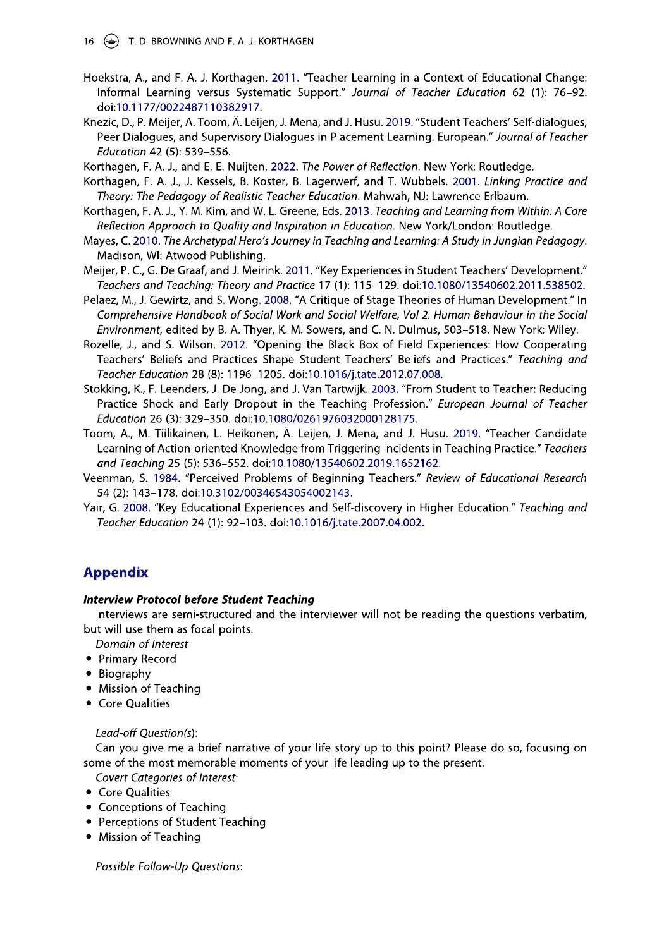- Hoekstra, A., and F. A. J. Korthagen. 2011. "Teacher Learning in a Context of Educational Change: Informal Learning versus Systematic Support." Journal of Teacher Education 62 (1): 76-92. doi:10.1177/0022487110382917.
- Knezic, D., P. Meijer, A. Toom, Ä. Leijen, J. Mena, and J. Husu. 2019. "Student Teachers' Self-dialogues, Peer Dialogues, and Supervisory Dialogues in Placement Learning. European." Journal of Teacher Education 42 (5): 539-556.
- Korthagen, F. A. J., and E. E. Nuijten. 2022. The Power of Reflection. New York: Routledge.
- Korthagen, F. A. J., J. Kessels, B. Koster, B. Lagerwerf, and T. Wubbels. 2001. Linking Practice and Theory: The Pedagogy of Realistic Teacher Education. Mahwah, NJ: Lawrence Erlbaum.
- Korthagen, F. A. J., Y. M. Kim, and W. L. Greene, Eds. 2013. Teaching and Learning from Within: A Core Reflection Approach to Quality and Inspiration in Education. New York/London: Routledge.
- Mayes, C. 2010. The Archetypal Hero's Journey in Teaching and Learning: A Study in Jungian Pedagogy. Madison, WI: Atwood Publishing.
- Meijer, P. C., G. De Graaf, and J. Meirink. 2011. "Key Experiences in Student Teachers' Development." Teachers and Teaching: Theory and Practice 17 (1): 115-129. doi:10.1080/13540602.2011.538502.
- Pelaez, M., J. Gewirtz, and S. Wong. 2008. "A Critique of Stage Theories of Human Development." In Comprehensive Handbook of Social Work and Social Welfare, Vol 2. Human Behaviour in the Social Environment, edited by B. A. Thyer, K. M. Sowers, and C. N. Dulmus, 503-518. New York: Wiley.
- Rozelle, J., and S. Wilson. 2012. "Opening the Black Box of Field Experiences: How Cooperating Teachers' Beliefs and Practices Shape Student Teachers' Beliefs and Practices." Teaching and Teacher Education 28 (8): 1196-1205. doi:10.1016/j.tate.2012.07.008.
- Stokking, K., F. Leenders, J. De Jong, and J. Van Tartwijk. 2003. "From Student to Teacher: Reducing Practice Shock and Early Dropout in the Teaching Profession." European Journal of Teacher Education 26 (3): 329-350. doi:10.1080/0261976032000128175.
- Toom, A., M. Tiilikainen, L. Heikonen, Ä. Leijen, J. Mena, and J. Husu. 2019. "Teacher Candidate Learning of Action-oriented Knowledge from Triggering Incidents in Teaching Practice." Teachers and Teaching 25 (5): 536-552. doi:10.1080/13540602.2019.1652162.
- Veenman, S. 1984. "Perceived Problems of Beginning Teachers." Review of Educational Research 54 (2): 143-178. doi:10.3102/00346543054002143.
- Yair, G. 2008. "Key Educational Experiences and Self-discovery in Higher Education." Teaching and Teacher Education 24 (1): 92-103. doi:10.1016/j.tate.2007.04.002.

# **Appendix**

# **Interview Protocol before Student Teaching**

Interviews are semi-structured and the interviewer will not be reading the questions verbatim, but will use them as focal points.

- Domain of Interest
- Primary Record
- Biography
- Mission of Teaching
- Core Qualities

# Lead-off Question(s):

Can you give me a brief narrative of your life story up to this point? Please do so, focusing on some of the most memorable moments of your life leading up to the present.

**Covert Categories of Interest:** 

- Core Qualities
- Conceptions of Teaching
- Perceptions of Student Teaching
- Mission of Teaching

Possible Follow-Up Questions: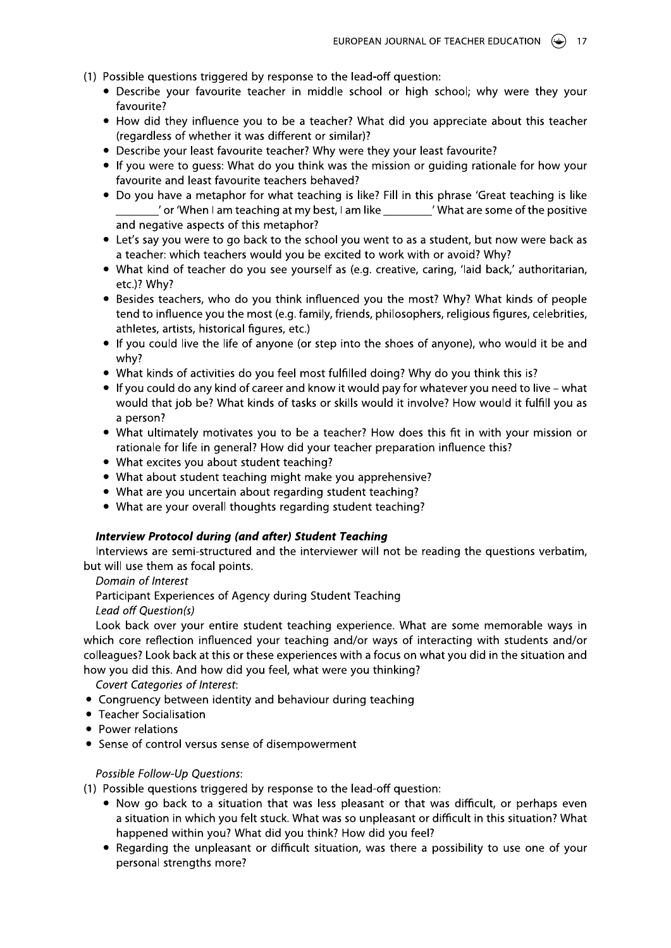- (1) Possible questions triggered by response to the lead-off question:
	- Describe your favourite teacher in middle school or high school; why were they your favourite?
	- How did they influence you to be a teacher? What did you appreciate about this teacher (regardless of whether it was different or similar)?
	- Describe your least favourite teacher? Why were they your least favourite?
	- If you were to guess: What do you think was the mission or guiding rationale for how your favourite and least favourite teachers behaved?
	- Do you have a metaphor for what teaching is like? Fill in this phrase 'Great teaching is like ' or 'When I am teaching at my best, I am like Theory Massury are some of the positive and negative aspects of this metaphor?
	- Let's say you were to go back to the school you went to as a student, but now were back as a teacher: which teachers would you be excited to work with or avoid? Why?
	- What kind of teacher do you see yourself as (e.g. creative, caring, 'laid back,' authoritarian, etc.)? Why?
	- Besides teachers, who do you think influenced you the most? Why? What kinds of people tend to influence you the most (e.g. family, friends, philosophers, religious figures, celebrities, athletes, artists, historical figures, etc.)
	- If you could live the life of anyone (or step into the shoes of anyone), who would it be and why?
	- . What kinds of activities do you feel most fulfilled doing? Why do you think this is?
	- If you could do any kind of career and know it would pay for whatever you need to live what would that job be? What kinds of tasks or skills would it involve? How would it fulfill you as a person?
	- What ultimately motivates you to be a teacher? How does this fit in with your mission or rationale for life in general? How did your teacher preparation influence this?
	- What excites you about student teaching?
	- What about student teaching might make you apprehensive?
	- What are you uncertain about regarding student teaching?
	- What are your overall thoughts regarding student teaching?

#### **Interview Protocol during (and after) Student Teaching**

Interviews are semi-structured and the interviewer will not be reading the questions verbatim, but will use them as focal points.

Domain of Interest

Participant Experiences of Agency during Student Teaching

Lead off Question(s)

Look back over your entire student teaching experience. What are some memorable ways in which core reflection influenced your teaching and/or ways of interacting with students and/or colleagues? Look back at this or these experiences with a focus on what you did in the situation and how you did this. And how did you feel, what were you thinking?

**Covert Categories of Interest:** 

- Congruency between identity and behaviour during teaching
- Teacher Socialisation
- Power relations
- Sense of control versus sense of disempowerment

#### Possible Follow-Up Questions:

(1) Possible questions triggered by response to the lead-off question:

- Now go back to a situation that was less pleasant or that was difficult, or perhaps even a situation in which you felt stuck. What was so unpleasant or difficult in this situation? What happened within you? What did you think? How did you feel?
- Regarding the unpleasant or difficult situation, was there a possibility to use one of your personal strengths more?